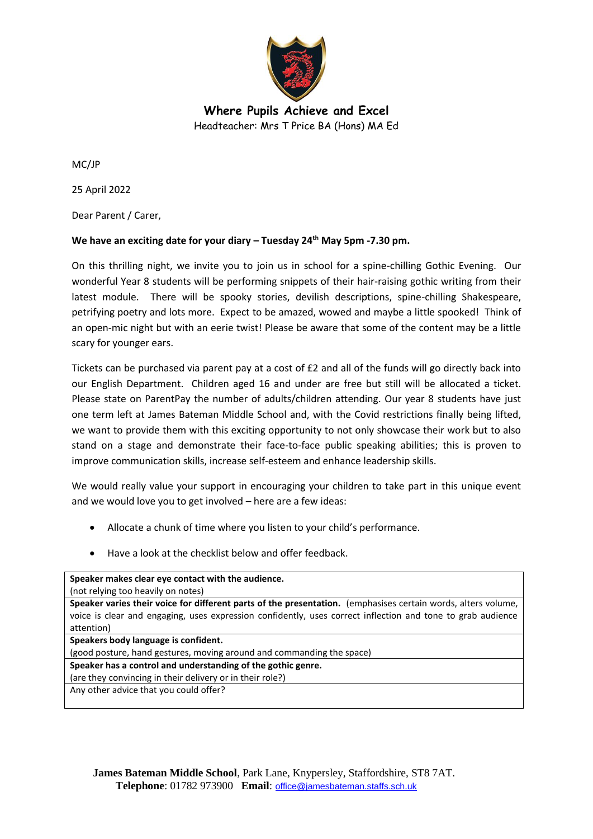

**Where Pupils Achieve and Excel** Headteacher: Mrs T Price BA (Hons) MA Ed

MC/JP

25 April 2022

Dear Parent / Carer,

## **We have an exciting date for your diary – Tuesday 24th May 5pm -7.30 pm.**

On this thrilling night, we invite you to join us in school for a spine-chilling Gothic Evening. Our wonderful Year 8 students will be performing snippets of their hair-raising gothic writing from their latest module. There will be spooky stories, devilish descriptions, spine-chilling Shakespeare, petrifying poetry and lots more. Expect to be amazed, wowed and maybe a little spooked! Think of an open-mic night but with an eerie twist! Please be aware that some of the content may be a little scary for younger ears.

Tickets can be purchased via parent pay at a cost of £2 and all of the funds will go directly back into our English Department. Children aged 16 and under are free but still will be allocated a ticket. Please state on ParentPay the number of adults/children attending. Our year 8 students have just one term left at James Bateman Middle School and, with the Covid restrictions finally being lifted, we want to provide them with this exciting opportunity to not only showcase their work but to also stand on a stage and demonstrate their face-to-face public speaking abilities; this is proven to improve communication skills, increase self-esteem and enhance leadership skills.

We would really value your support in encouraging your children to take part in this unique event and we would love you to get involved – here are a few ideas:

- Allocate a chunk of time where you listen to your child's performance.
- Have a look at the checklist below and offer feedback.

**Speaker makes clear eye contact with the audience.** (not relying too heavily on notes)

**Speaker varies their voice for different parts of the presentation.** (emphasises certain words, alters volume, voice is clear and engaging, uses expression confidently, uses correct inflection and tone to grab audience attention)

**Speakers body language is confident.**

(good posture, hand gestures, moving around and commanding the space)

**Speaker has a control and understanding of the gothic genre.**

(are they convincing in their delivery or in their role?) Any other advice that you could offer?